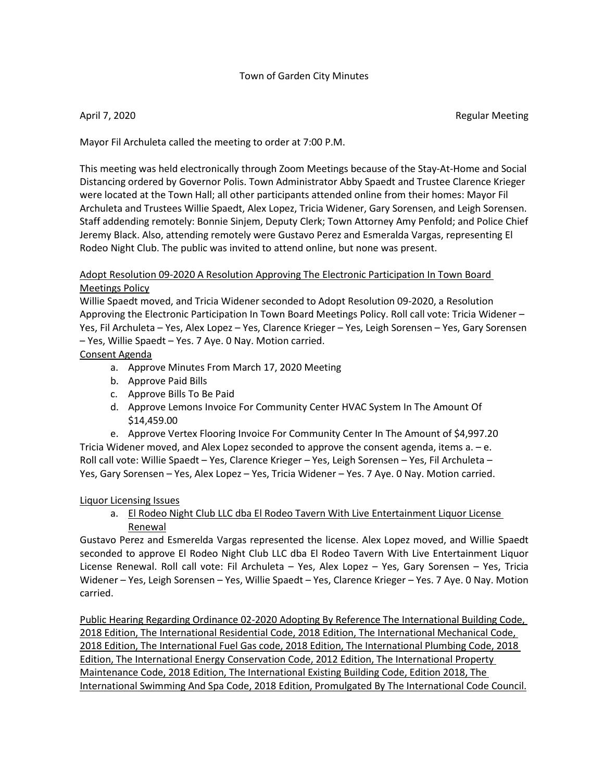## Town of Garden City Minutes

April 7, 2020 **Regular Meeting** 

Mayor Fil Archuleta called the meeting to order at 7:00 P.M.

This meeting was held electronically through Zoom Meetings because of the Stay-At-Home and Social Distancing ordered by Governor Polis. Town Administrator Abby Spaedt and Trustee Clarence Krieger were located at the Town Hall; all other participants attended online from their homes: Mayor Fil Archuleta and Trustees Willie Spaedt, Alex Lopez, Tricia Widener, Gary Sorensen, and Leigh Sorensen. Staff addending remotely: Bonnie Sinjem, Deputy Clerk; Town Attorney Amy Penfold; and Police Chief Jeremy Black. Also, attending remotely were Gustavo Perez and Esmeralda Vargas, representing El Rodeo Night Club. The public was invited to attend online, but none was present.

# Adopt Resolution 09-2020 A Resolution Approving The Electronic Participation In Town Board Meetings Policy

Willie Spaedt moved, and Tricia Widener seconded to Adopt Resolution 09-2020, a Resolution Approving the Electronic Participation In Town Board Meetings Policy. Roll call vote: Tricia Widener – Yes, Fil Archuleta – Yes, Alex Lopez – Yes, Clarence Krieger – Yes, Leigh Sorensen – Yes, Gary Sorensen – Yes, Willie Spaedt – Yes. 7 Aye. 0 Nay. Motion carried.

# Consent Agenda

- a. Approve Minutes From March 17, 2020 Meeting
- b. Approve Paid Bills
- c. Approve Bills To Be Paid
- d. Approve Lemons Invoice For Community Center HVAC System In The Amount Of \$14,459.00

e. Approve Vertex Flooring Invoice For Community Center In The Amount of \$4,997.20 Tricia Widener moved, and Alex Lopez seconded to approve the consent agenda, items a. – e. Roll call vote: Willie Spaedt – Yes, Clarence Krieger – Yes, Leigh Sorensen – Yes, Fil Archuleta – Yes, Gary Sorensen – Yes, Alex Lopez – Yes, Tricia Widener – Yes. 7 Aye. 0 Nay. Motion carried.

## Liquor Licensing Issues

a. El Rodeo Night Club LLC dba El Rodeo Tavern With Live Entertainment Liquor License Renewal

Gustavo Perez and Esmerelda Vargas represented the license. Alex Lopez moved, and Willie Spaedt seconded to approve El Rodeo Night Club LLC dba El Rodeo Tavern With Live Entertainment Liquor License Renewal. Roll call vote: Fil Archuleta – Yes, Alex Lopez – Yes, Gary Sorensen – Yes, Tricia Widener – Yes, Leigh Sorensen – Yes, Willie Spaedt – Yes, Clarence Krieger – Yes. 7 Aye. 0 Nay. Motion carried.

Public Hearing Regarding Ordinance 02-2020 Adopting By Reference The International Building Code, 2018 Edition, The International Residential Code, 2018 Edition, The International Mechanical Code, 2018 Edition, The International Fuel Gas code, 2018 Edition, The International Plumbing Code, 2018 Edition, The International Energy Conservation Code, 2012 Edition, The International Property Maintenance Code, 2018 Edition, The International Existing Building Code, Edition 2018, The International Swimming And Spa Code, 2018 Edition, Promulgated By The International Code Council.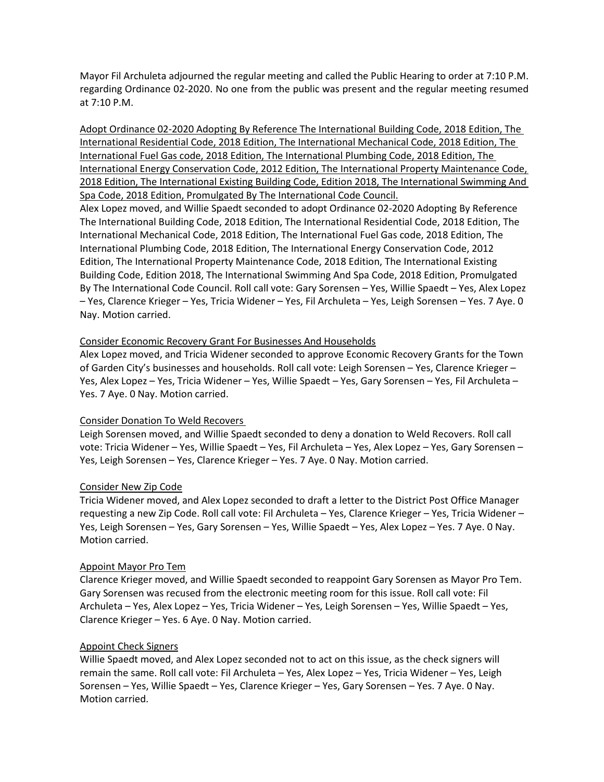Mayor Fil Archuleta adjourned the regular meeting and called the Public Hearing to order at 7:10 P.M. regarding Ordinance 02-2020. No one from the public was present and the regular meeting resumed at 7:10 P.M.

Adopt Ordinance 02-2020 Adopting By Reference The International Building Code, 2018 Edition, The International Residential Code, 2018 Edition, The International Mechanical Code, 2018 Edition, The International Fuel Gas code, 2018 Edition, The International Plumbing Code, 2018 Edition, The International Energy Conservation Code, 2012 Edition, The International Property Maintenance Code, 2018 Edition, The International Existing Building Code, Edition 2018, The International Swimming And Spa Code, 2018 Edition, Promulgated By The International Code Council.

Alex Lopez moved, and Willie Spaedt seconded to adopt Ordinance 02-2020 Adopting By Reference The International Building Code, 2018 Edition, The International Residential Code, 2018 Edition, The International Mechanical Code, 2018 Edition, The International Fuel Gas code, 2018 Edition, The International Plumbing Code, 2018 Edition, The International Energy Conservation Code, 2012 Edition, The International Property Maintenance Code, 2018 Edition, The International Existing Building Code, Edition 2018, The International Swimming And Spa Code, 2018 Edition, Promulgated By The International Code Council. Roll call vote: Gary Sorensen – Yes, Willie Spaedt – Yes, Alex Lopez – Yes, Clarence Krieger – Yes, Tricia Widener – Yes, Fil Archuleta – Yes, Leigh Sorensen – Yes. 7 Aye. 0 Nay. Motion carried.

### Consider Economic Recovery Grant For Businesses And Households

Alex Lopez moved, and Tricia Widener seconded to approve Economic Recovery Grants for the Town of Garden City's businesses and households. Roll call vote: Leigh Sorensen – Yes, Clarence Krieger – Yes, Alex Lopez – Yes, Tricia Widener – Yes, Willie Spaedt – Yes, Gary Sorensen – Yes, Fil Archuleta – Yes. 7 Aye. 0 Nay. Motion carried.

## Consider Donation To Weld Recovers

Leigh Sorensen moved, and Willie Spaedt seconded to deny a donation to Weld Recovers. Roll call vote: Tricia Widener – Yes, Willie Spaedt – Yes, Fil Archuleta – Yes, Alex Lopez – Yes, Gary Sorensen – Yes, Leigh Sorensen – Yes, Clarence Krieger – Yes. 7 Aye. 0 Nay. Motion carried.

#### Consider New Zip Code

Tricia Widener moved, and Alex Lopez seconded to draft a letter to the District Post Office Manager requesting a new Zip Code. Roll call vote: Fil Archuleta – Yes, Clarence Krieger – Yes, Tricia Widener – Yes, Leigh Sorensen – Yes, Gary Sorensen – Yes, Willie Spaedt – Yes, Alex Lopez – Yes. 7 Aye. 0 Nay. Motion carried.

#### Appoint Mayor Pro Tem

Clarence Krieger moved, and Willie Spaedt seconded to reappoint Gary Sorensen as Mayor Pro Tem. Gary Sorensen was recused from the electronic meeting room for this issue. Roll call vote: Fil Archuleta – Yes, Alex Lopez – Yes, Tricia Widener – Yes, Leigh Sorensen – Yes, Willie Spaedt – Yes, Clarence Krieger – Yes. 6 Aye. 0 Nay. Motion carried.

#### Appoint Check Signers

Willie Spaedt moved, and Alex Lopez seconded not to act on this issue, as the check signers will remain the same. Roll call vote: Fil Archuleta – Yes, Alex Lopez – Yes, Tricia Widener – Yes, Leigh Sorensen – Yes, Willie Spaedt – Yes, Clarence Krieger – Yes, Gary Sorensen – Yes. 7 Aye. 0 Nay. Motion carried.